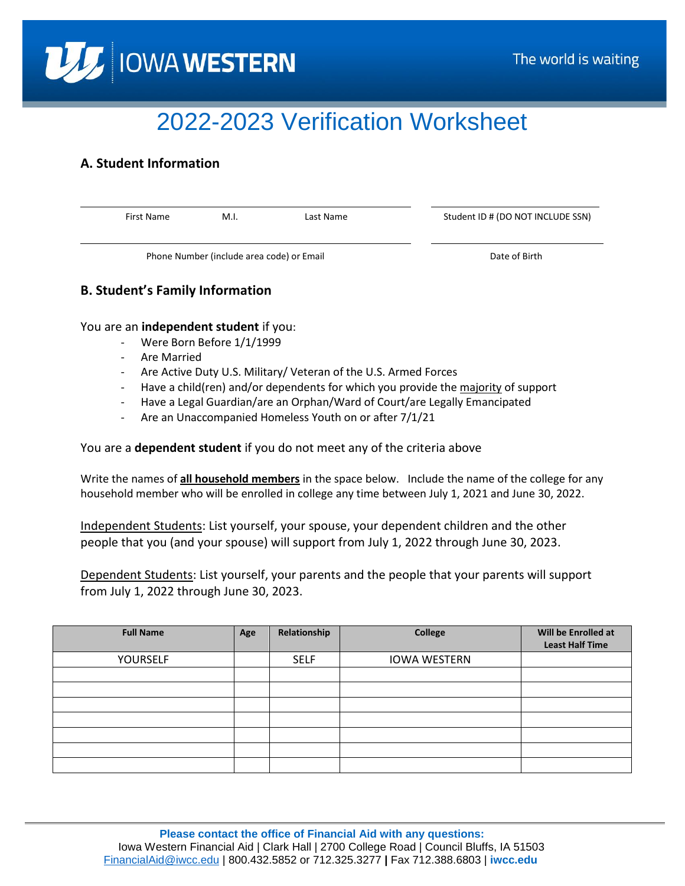

# 2022-2023 Verification Worksheet

# **A. Student Information**

First Name M.I. Last Name Student ID # (DO NOT INCLUDE SSN) Phone Number (include area code) or Email Date of Birth Date of Birth

## **B. Student's Family Information**

You are an **independent student** if you:

- Were Born Before 1/1/1999
- Are Married
- Are Active Duty U.S. Military/ Veteran of the U.S. Armed Forces
- Have a child(ren) and/or dependents for which you provide the majority of support
- Have a Legal Guardian/are an Orphan/Ward of Court/are Legally Emancipated
- Are an Unaccompanied Homeless Youth on or after 7/1/21

You are a **dependent student** if you do not meet any of the criteria above

Write the names of **all household members** in the space below. Include the name of the college for any household member who will be enrolled in college any time between July 1, 2021 and June 30, 2022.

Independent Students: List yourself, your spouse, your dependent children and the other people that you (and your spouse) will support from July 1, 2022 through June 30, 2023.

Dependent Students: List yourself, your parents and the people that your parents will support from July 1, 2022 through June 30, 2023.

| <b>Full Name</b> | Age | Relationship | College             | Will be Enrolled at<br><b>Least Half Time</b> |
|------------------|-----|--------------|---------------------|-----------------------------------------------|
| YOURSELF         |     | <b>SELF</b>  | <b>IOWA WESTERN</b> |                                               |
|                  |     |              |                     |                                               |
|                  |     |              |                     |                                               |
|                  |     |              |                     |                                               |
|                  |     |              |                     |                                               |
|                  |     |              |                     |                                               |
|                  |     |              |                     |                                               |
|                  |     |              |                     |                                               |